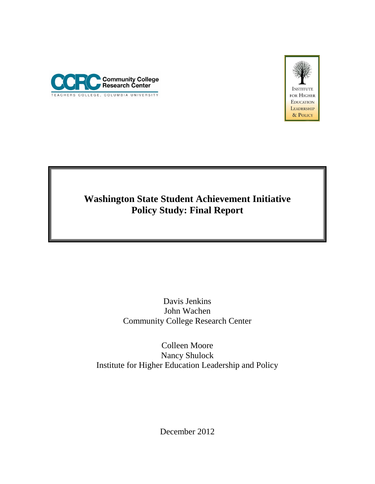



# **Washington State Student Achievement Initiative Policy Study: Final Report**

Davis Jenkins John Wachen Community College Research Center

Colleen Moore Nancy Shulock Institute for Higher Education Leadership and Policy

December 2012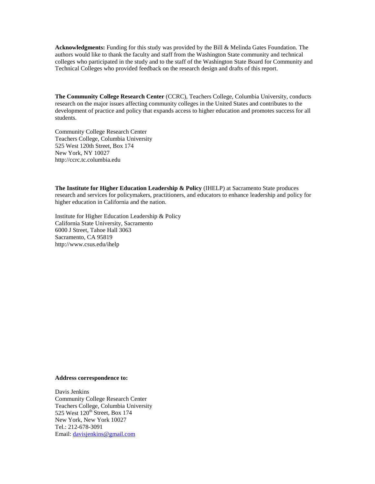**Acknowledgments:** Funding for this study was provided by the Bill & Melinda Gates Foundation. The authors would like to thank the faculty and staff from the Washington State community and technical colleges who participated in the study and to the staff of the Washington State Board for Community and Technical Colleges who provided feedback on the research design and drafts of this report.

**The Community College Research Center** (CCRC), Teachers College, Columbia University, conducts research on the major issues affecting community colleges in the United States and contributes to the development of practice and policy that expands access to higher education and promotes success for all students.

Community College Research Center Teachers College, Columbia University 525 West 120th Street, Box 174 New York, NY 10027 http://ccrc.tc.columbia.edu

**The Institute for Higher Education Leadership & Policy** (IHELP) at Sacramento State produces research and services for policymakers, practitioners, and educators to enhance leadership and policy for higher education in California and the nation.

Institute for Higher Education Leadership & Policy California State University, Sacramento 6000 J Street, Tahoe Hall 3063 Sacramento, CA 95819 http://www.csus.edu/ihelp

#### **Address correspondence to:**

Davis Jenkins Community College Research Center Teachers College, Columbia University 525 West  $120^{th}$  Street, Box 174 New York, New York 10027 Tel.: 212-678-3091 Email: [davisjenkins@gmail.com](mailto:davisjenkins@gmail.com)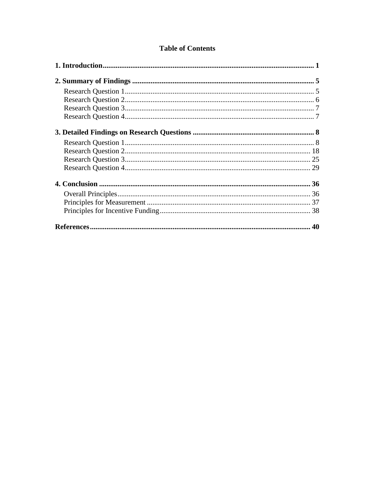# **Table of Contents**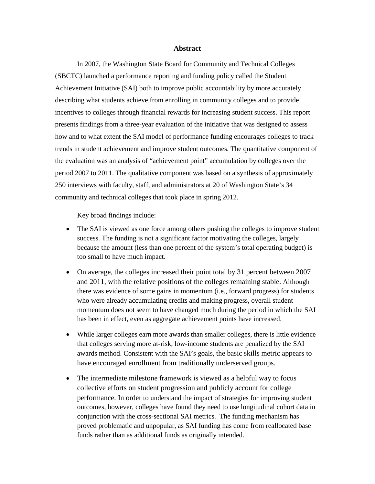#### **Abstract**

In 2007, the Washington State Board for Community and Technical Colleges (SBCTC) launched a performance reporting and funding policy called the Student Achievement Initiative (SAI) both to improve public accountability by more accurately describing what students achieve from enrolling in community colleges and to provide incentives to colleges through financial rewards for increasing student success. This report presents findings from a three-year evaluation of the initiative that was designed to assess how and to what extent the SAI model of performance funding encourages colleges to track trends in student achievement and improve student outcomes. The quantitative component of the evaluation was an analysis of "achievement point" accumulation by colleges over the period 2007 to 2011. The qualitative component was based on a synthesis of approximately 250 interviews with faculty, staff, and administrators at 20 of Washington State's 34 community and technical colleges that took place in spring 2012.

Key broad findings include:

- The SAI is viewed as one force among others pushing the colleges to improve student success. The funding is not a significant factor motivating the colleges, largely because the amount (less than one percent of the system's total operating budget) is too small to have much impact.
- On average, the colleges increased their point total by 31 percent between 2007 and 2011, with the relative positions of the colleges remaining stable. Although there was evidence of some gains in momentum (i.e., forward progress) for students who were already accumulating credits and making progress, overall student momentum does not seem to have changed much during the period in which the SAI has been in effect, even as aggregate achievement points have increased.
- While larger colleges earn more awards than smaller colleges, there is little evidence that colleges serving more at-risk, low-income students are penalized by the SAI awards method. Consistent with the SAI's goals, the basic skills metric appears to have encouraged enrollment from traditionally underserved groups.
- The intermediate milestone framework is viewed as a helpful way to focus collective efforts on student progression and publicly account for college performance. In order to understand the impact of strategies for improving student outcomes, however, colleges have found they need to use longitudinal cohort data in conjunction with the cross-sectional SAI metrics. The funding mechanism has proved problematic and unpopular, as SAI funding has come from reallocated base funds rather than as additional funds as originally intended.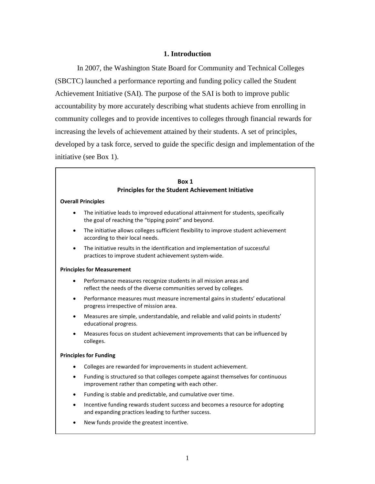## **1. Introduction**

<span id="page-4-0"></span>In 2007, the Washington State Board for Community and Technical Colleges (SBCTC) launched a performance reporting and funding policy called the Student Achievement Initiative (SAI). The purpose of the SAI is both to improve public accountability by more accurately describing what students achieve from enrolling in community colleges and to provide incentives to colleges through financial rewards for increasing the levels of achievement attained by their students. A set of principles, developed by a task force, served to guide the specific design and implementation of the initiative (see Box 1).

| Box 1<br><b>Principles for the Student Achievement Initiative</b> |                                                                                                                                            |  |  |  |  |  |  |
|-------------------------------------------------------------------|--------------------------------------------------------------------------------------------------------------------------------------------|--|--|--|--|--|--|
|                                                                   | <b>Overall Principles</b>                                                                                                                  |  |  |  |  |  |  |
| $\bullet$                                                         | The initiative leads to improved educational attainment for students, specifically<br>the goal of reaching the "tipping point" and beyond. |  |  |  |  |  |  |
| $\bullet$                                                         | The initiative allows colleges sufficient flexibility to improve student achievement<br>according to their local needs.                    |  |  |  |  |  |  |
| $\bullet$                                                         | The initiative results in the identification and implementation of successful<br>practices to improve student achievement system-wide.     |  |  |  |  |  |  |
| <b>Principles for Measurement</b>                                 |                                                                                                                                            |  |  |  |  |  |  |
| $\bullet$                                                         | Performance measures recognize students in all mission areas and<br>reflect the needs of the diverse communities served by colleges.       |  |  |  |  |  |  |
| $\bullet$                                                         | Performance measures must measure incremental gains in students' educational<br>progress irrespective of mission area.                     |  |  |  |  |  |  |
| $\bullet$                                                         | Measures are simple, understandable, and reliable and valid points in students'<br>educational progress.                                   |  |  |  |  |  |  |
|                                                                   | Measures focus on student achievement improvements that can be influenced by<br>colleges.                                                  |  |  |  |  |  |  |
| <b>Principles for Funding</b>                                     |                                                                                                                                            |  |  |  |  |  |  |
| $\bullet$                                                         | Colleges are rewarded for improvements in student achievement.                                                                             |  |  |  |  |  |  |
| $\bullet$                                                         | Funding is structured so that colleges compete against themselves for continuous<br>improvement rather than competing with each other.     |  |  |  |  |  |  |
| $\bullet$                                                         | Funding is stable and predictable, and cumulative over time.                                                                               |  |  |  |  |  |  |
| $\bullet$                                                         | Incentive funding rewards student success and becomes a resource for adopting<br>and expanding practices leading to further success.       |  |  |  |  |  |  |
| $\bullet$                                                         | New funds provide the greatest incentive.                                                                                                  |  |  |  |  |  |  |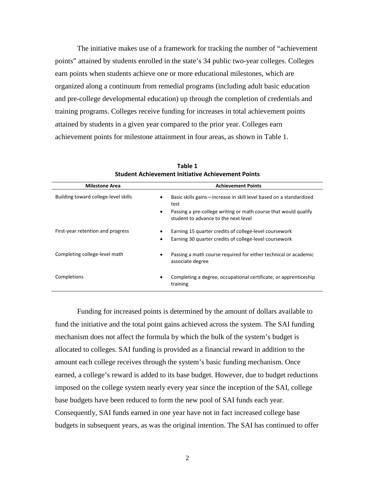The initiative makes use of a framework for tracking the number of "achievement points" attained by students enrolled in the state's 34 public two-year colleges. Colleges earn points when students achieve one or more educational milestones, which are organized along a continuum from remedial programs (including adult basic education and pre-college developmental education) up through the completion of credentials and training programs. Colleges receive funding for increases in total achievement points attained by students in a given year compared to the prior year. Colleges earn achievement points for milestone attainment in four areas, as shown in Table 1.

| <b>Milestone Area</b>                | <b>Achievement Points</b>                                                                                    |
|--------------------------------------|--------------------------------------------------------------------------------------------------------------|
| Building toward college-level skills | Basic skills gains—increase in skill level based on a standardized<br>٠<br>test                              |
|                                      | Passing a pre-college writing or math course that would qualify<br>٠<br>student to advance to the next level |
| First-year retention and progress    | Earning 15 quarter credits of college-level coursework                                                       |
|                                      | Earning 30 quarter credits of college-level coursework<br>$\bullet$                                          |
| Completing college-level math        | Passing a math course required for either technical or academic<br>٠<br>associate degree                     |
| Completions                          | Completing a degree, occupational certificate, or apprenticeship<br>training                                 |

**Table 1 Student Achievement Initiative Achievement Points**

Funding for increased points is determined by the amount of dollars available to fund the initiative and the total point gains achieved across the system. The SAI funding mechanism does not affect the formula by which the bulk of the system's budget is allocated to colleges. SAI funding is provided as a financial reward in addition to the amount each college receives through the system's basic funding mechanism. Once earned, a college's reward is added to its base budget. However, due to budget reductions imposed on the college system nearly every year since the inception of the SAI, college base budgets have been reduced to form the new pool of SAI funds each year. Consequently, SAI funds earned in one year have not in fact increased college base budgets in subsequent years, as was the original intention. The SAI has continued to offer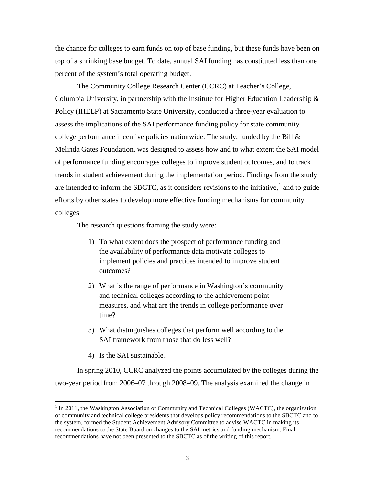the chance for colleges to earn funds on top of base funding, but these funds have been on top of a shrinking base budget. To date, annual SAI funding has constituted less than one percent of the system's total operating budget.

The Community College Research Center (CCRC) at Teacher's College, Columbia University, in partnership with the Institute for Higher Education Leadership  $\&$ Policy (IHELP) at Sacramento State University, conducted a three-year evaluation to assess the implications of the SAI performance funding policy for state community college performance incentive policies nationwide. The study, funded by the Bill  $\&$ Melinda Gates Foundation, was designed to assess how and to what extent the SAI model of performance funding encourages colleges to improve student outcomes, and to track trends in student achievement during the implementation period. Findings from the study are intended to inform the SBCTC, as it considers revisions to the initiative, $<sup>1</sup>$  $<sup>1</sup>$  $<sup>1</sup>$  and to guide</sup> efforts by other states to develop more effective funding mechanisms for community colleges.

The research questions framing the study were:

- 1) To what extent does the prospect of performance funding and the availability of performance data motivate colleges to implement policies and practices intended to improve student outcomes?
- 2) What is the range of performance in Washington's community and technical colleges according to the achievement point measures, and what are the trends in college performance over time?
- 3) What distinguishes colleges that perform well according to the SAI framework from those that do less well?
- 4) Is the SAI sustainable?

In spring 2010, CCRC analyzed the points accumulated by the colleges during the two-year period from 2006–07 through 2008–09. The analysis examined the change in

<span id="page-6-0"></span><sup>&</sup>lt;sup>1</sup> In 2011, the Washington Association of Community and Technical Colleges (WACTC), the organization of community and technical college presidents that develops policy recommendations to the SBCTC and to the system, formed the Student Achievement Advisory Committee to advise WACTC in making its recommendations to the State Board on changes to the SAI metrics and funding mechanism. Final recommendations have not been presented to the SBCTC as of the writing of this report.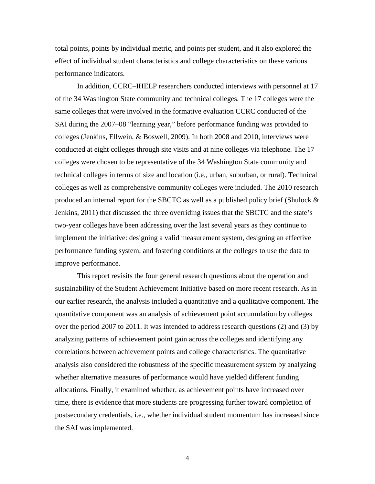total points, points by individual metric, and points per student, and it also explored the effect of individual student characteristics and college characteristics on these various performance indicators.

In addition, CCRC–IHELP researchers conducted interviews with personnel at 17 of the 34 Washington State community and technical colleges. The 17 colleges were the same colleges that were involved in the formative evaluation CCRC conducted of the SAI during the 2007–08 "learning year," before performance funding was provided to colleges (Jenkins, Ellwein, & Boswell, 2009). In both 2008 and 2010, interviews were conducted at eight colleges through site visits and at nine colleges via telephone. The 17 colleges were chosen to be representative of the 34 Washington State community and technical colleges in terms of size and location (i.e., urban, suburban, or rural). Technical colleges as well as comprehensive community colleges were included. The 2010 research produced an internal report for the SBCTC as well as a published policy brief (Shulock & Jenkins, 2011) that discussed the three overriding issues that the SBCTC and the state's two-year colleges have been addressing over the last several years as they continue to implement the initiative: designing a valid measurement system, designing an effective performance funding system, and fostering conditions at the colleges to use the data to improve performance.

This report revisits the four general research questions about the operation and sustainability of the Student Achievement Initiative based on more recent research. As in our earlier research, the analysis included a quantitative and a qualitative component. The quantitative component was an analysis of achievement point accumulation by colleges over the period 2007 to 2011. It was intended to address research questions (2) and (3) by analyzing patterns of achievement point gain across the colleges and identifying any correlations between achievement points and college characteristics. The quantitative analysis also considered the robustness of the specific measurement system by analyzing whether alternative measures of performance would have yielded different funding allocations. Finally, it examined whether, as achievement points have increased over time, there is evidence that more students are progressing further toward completion of postsecondary credentials, i.e., whether individual student momentum has increased since the SAI was implemented.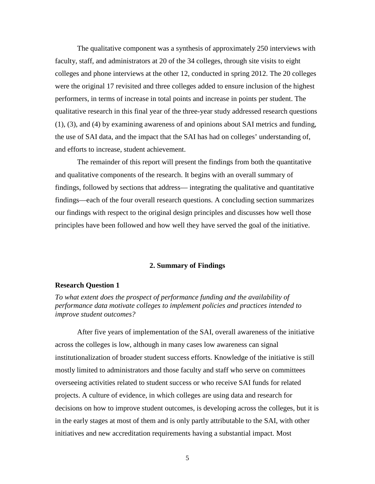The qualitative component was a synthesis of approximately 250 interviews with faculty, staff, and administrators at 20 of the 34 colleges, through site visits to eight colleges and phone interviews at the other 12, conducted in spring 2012. The 20 colleges were the original 17 revisited and three colleges added to ensure inclusion of the highest performers, in terms of increase in total points and increase in points per student. The qualitative research in this final year of the three-year study addressed research questions (1), (3), and (4) by examining awareness of and opinions about SAI metrics and funding, the use of SAI data, and the impact that the SAI has had on colleges' understanding of, and efforts to increase, student achievement.

The remainder of this report will present the findings from both the quantitative and qualitative components of the research. It begins with an overall summary of findings, followed by sections that address— integrating the qualitative and quantitative findings—each of the four overall research questions. A concluding section summarizes our findings with respect to the original design principles and discusses how well those principles have been followed and how well they have served the goal of the initiative.

### **2. Summary of Findings**

#### <span id="page-8-1"></span><span id="page-8-0"></span>**Research Question 1**

*To what extent does the prospect of performance funding and the availability of performance data motivate colleges to implement policies and practices intended to improve student outcomes?*

After five years of implementation of the SAI, overall awareness of the initiative across the colleges is low, although in many cases low awareness can signal institutionalization of broader student success efforts. Knowledge of the initiative is still mostly limited to administrators and those faculty and staff who serve on committees overseeing activities related to student success or who receive SAI funds for related projects. A culture of evidence, in which colleges are using data and research for decisions on how to improve student outcomes, is developing across the colleges, but it is in the early stages at most of them and is only partly attributable to the SAI, with other initiatives and new accreditation requirements having a substantial impact. Most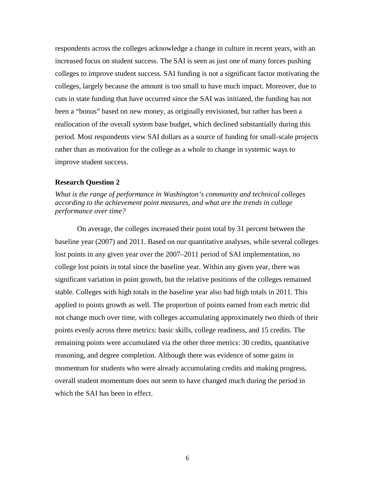respondents across the colleges acknowledge a change in culture in recent years, with an increased focus on student success. The SAI is seen as just one of many forces pushing colleges to improve student success. SAI funding is not a significant factor motivating the colleges, largely because the amount is too small to have much impact. Moreover, due to cuts in state funding that have occurred since the SAI was initiated, the funding has not been a "bonus" based on new money, as originally envisioned, but rather has been a reallocation of the overall system base budget, which declined substantially during this period. Most respondents view SAI dollars as a source of funding for small-scale projects rather than as motivation for the college as a whole to change in systemic ways to improve student success.

#### <span id="page-9-0"></span>**Research Question 2**

*What is the range of performance in Washington's community and technical colleges according to the achievement point measures, and what are the trends in college performance over time?*

<span id="page-9-1"></span>On average, the colleges increased their point total by 31 percent between the baseline year (2007) and 2011. Based on our quantitative analyses, while several colleges lost points in any given year over the 2007–2011 period of SAI implementation, no college lost points in total since the baseline year. Within any given year, there was significant variation in point growth, but the relative positions of the colleges remained stable. Colleges with high totals in the baseline year also had high totals in 2011. This applied to points growth as well. The proportion of points earned from each metric did not change much over time, with colleges accumulating approximately two thirds of their points evenly across three metrics: basic skills, college readiness, and 15 credits. The remaining points were accumulated via the other three metrics: 30 credits, quantitative reasoning, and degree completion. Although there was evidence of some gains in momentum for students who were already accumulating credits and making progress, overall student momentum does not seem to have changed much during the period in which the SAI has been in effect.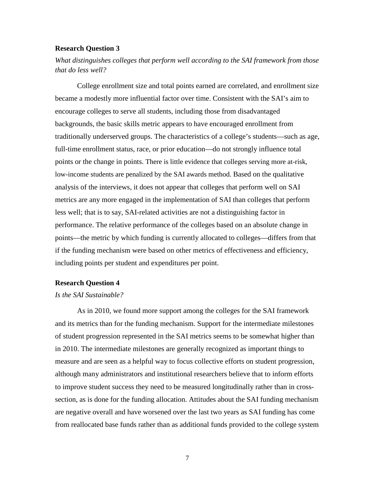# **Research Question 3**

*What distinguishes colleges that perform well according to the SAI framework from those that do less well?*

College enrollment size and total points earned are correlated, and enrollment size became a modestly more influential factor over time. Consistent with the SAI's aim to encourage colleges to serve all students, including those from disadvantaged backgrounds, the basic skills metric appears to have encouraged enrollment from traditionally underserved groups. The characteristics of a college's students—such as age, full-time enrollment status, race, or prior education—do not strongly influence total points or the change in points. There is little evidence that colleges serving more at-risk, low-income students are penalized by the SAI awards method. Based on the qualitative analysis of the interviews, it does not appear that colleges that perform well on SAI metrics are any more engaged in the implementation of SAI than colleges that perform less well; that is to say, SAI-related activities are not a distinguishing factor in performance. The relative performance of the colleges based on an absolute change in points—the metric by which funding is currently allocated to colleges—differs from that if the funding mechanism were based on other metrics of effectiveness and efficiency, including points per student and expenditures per point.

#### <span id="page-10-0"></span>**Research Question 4**

#### *Is the SAI Sustainable?*

As in 2010, we found more support among the colleges for the SAI framework and its metrics than for the funding mechanism. Support for the intermediate milestones of student progression represented in the SAI metrics seems to be somewhat higher than in 2010. The intermediate milestones are generally recognized as important things to measure and are seen as a helpful way to focus collective efforts on student progression, although many administrators and institutional researchers believe that to inform efforts to improve student success they need to be measured longitudinally rather than in crosssection, as is done for the funding allocation. Attitudes about the SAI funding mechanism are negative overall and have worsened over the last two years as SAI funding has come from reallocated base funds rather than as additional funds provided to the college system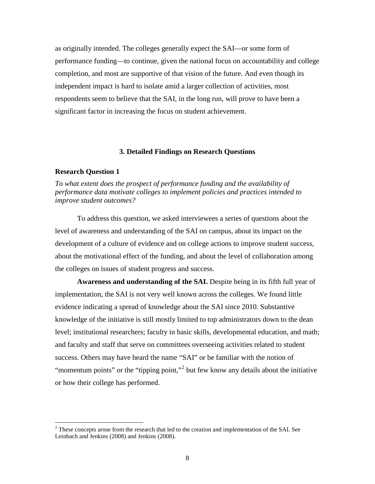as originally intended. The colleges generally expect the SAI—or some form of performance funding—to continue, given the national focus on accountability and college completion, and most are supportive of that vision of the future. And even though its independent impact is hard to isolate amid a larger collection of activities, most respondents seem to believe that the SAI, in the long run, will prove to have been a significant factor in increasing the focus on student achievement.

#### **3. Detailed Findings on Research Questions**

#### <span id="page-11-1"></span><span id="page-11-0"></span>**Research Question 1**

*To what extent does the prospect of performance funding and the availability of performance data motivate colleges to implement policies and practices intended to improve student outcomes?*

To address this question, we asked interviewees a series of questions about the level of awareness and understanding of the SAI on campus, about its impact on the development of a culture of evidence and on college actions to improve student success, about the motivational effect of the funding, and about the level of collaboration among the colleges on issues of student progress and success.

**Awareness and understanding of the SAI.** Despite being in its fifth full year of implementation, the SAI is not very well known across the colleges. We found little evidence indicating a spread of knowledge about the SAI since 2010. Substantive knowledge of the initiative is still mostly limited to top administrators down to the dean level; institutional researchers; faculty in basic skills, developmental education, and math; and faculty and staff that serve on committees overseeing activities related to student success. Others may have heard the name "SAI" or be familiar with the notion of "momentum points" or the "tipping point,"<sup>[2](#page-11-2)</sup> but few know any details about the initiative or how their college has performed.

<span id="page-11-2"></span><sup>&</sup>lt;sup>2</sup> These concepts arose from the research that led to the creation and implementation of the SAI. See Leinbach and Jenkins (2008) and Jenkins (2008).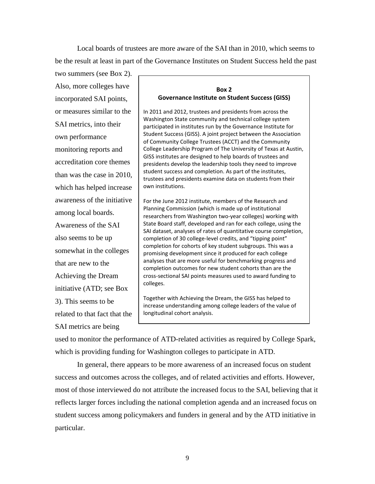Local boards of trustees are more aware of the SAI than in 2010, which seems to be the result at least in part of the Governance Institutes on Student Success held the past

two summers (see Box 2). Also, more colleges have incorporated SAI points, or measures similar to the SAI metrics, into their own performance monitoring reports and accreditation core themes than was the case in 2010, which has helped increase awareness of the initiative among local boards. Awareness of the SAI also seems to be up somewhat in the colleges that are new to the Achieving the Dream initiative (ATD; see Box

3). This seems to be related to that fact that the

SAI metrics are being

# **Box 2 Governance Institute on Student Success (GISS)**

In 2011 and 2012, trustees and presidents from across the Washington State community and technical college system participated in institutes run by the Governance Institute for Student Success (GISS). A joint project between the Association of Community College Trustees (ACCT) and the Community College Leadership Program of The University of Texas at Austin, GISS institutes are designed to help boards of trustees and presidents develop the leadership tools they need to improve student success and completion. As part of the institutes, trustees and presidents examine data on students from their own institutions.

For the June 2012 institute, members of the Research and Planning Commission (which is made up of institutional researchers from Washington two-year colleges) working with State Board staff, developed and ran for each college, using the SAI dataset, analyses of rates of quantitative course completion, completion of 30 college-level credits, and "tipping point" completion for cohorts of key student subgroups. This was a promising development since it produced for each college analyses that are more useful for benchmarking progress and completion outcomes for new student cohorts than are the cross-sectional SAI points measures used to award funding to colleges.

Together with Achieving the Dream, the GISS has helped to increase understanding among college leaders of the value of longitudinal cohort analysis.

used to monitor the performance of ATD-related activities as required by College Spark, which is providing funding for Washington colleges to participate in ATD.

In general, there appears to be more awareness of an increased focus on student success and outcomes across the colleges, and of related activities and efforts. However, most of those interviewed do not attribute the increased focus to the SAI, believing that it reflects larger forces including the national completion agenda and an increased focus on student success among policymakers and funders in general and by the ATD initiative in particular.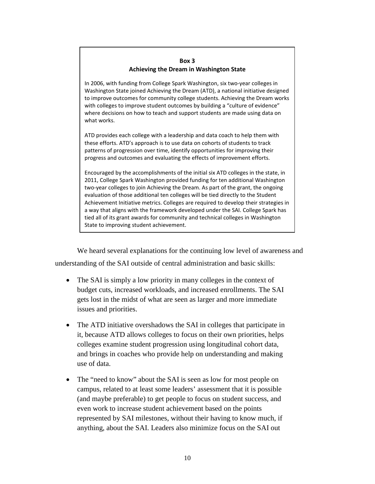#### **Box 3 Achieving the Dream in Washington State**

In 2006, with funding from College Spark Washington, six two-year colleges in Washington State joined Achieving the Dream (ATD), a national initiative designed to improve outcomes for community college students. Achieving the Dream works with colleges to improve student outcomes by building a "culture of evidence" where decisions on how to teach and support students are made using data on what works.

ATD provides each college with a leadership and data coach to help them with these efforts. ATD's approach is to use data on cohorts of students to track patterns of progression over time, identify opportunities for improving their progress and outcomes and evaluating the effects of improvement efforts.

Encouraged by the accomplishments of the initial six ATD colleges in the state, in 2011, College Spark Washington provided funding for ten additional Washington two-year colleges to join Achieving the Dream. As part of the grant, the ongoing evaluation of those additional ten colleges will be tied directly to the Student Achievement Initiative metrics. Colleges are required to develop their strategies in a way that aligns with the framework developed under the SAI. College Spark has tied all of its grant awards for community and technical colleges in Washington State to improving student achievement.

We heard several explanations for the continuing low level of awareness and understanding of the SAI outside of central administration and basic skills:

- The SAI is simply a low priority in many colleges in the context of budget cuts, increased workloads, and increased enrollments. The SAI gets lost in the midst of what are seen as larger and more immediate issues and priorities.
- The ATD initiative overshadows the SAI in colleges that participate in it, because ATD allows colleges to focus on their own priorities, helps colleges examine student progression using longitudinal cohort data, and brings in coaches who provide help on understanding and making use of data.
- The "need to know" about the SAI is seen as low for most people on campus, related to at least some leaders' assessment that it is possible (and maybe preferable) to get people to focus on student success, and even work to increase student achievement based on the points represented by SAI milestones, without their having to know much, if anything, about the SAI. Leaders also minimize focus on the SAI out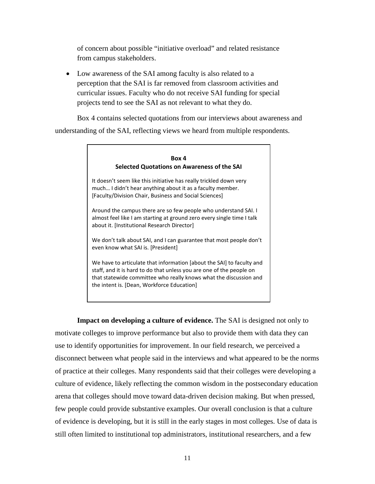of concern about possible "initiative overload" and related resistance from campus stakeholders.

• Low awareness of the SAI among faculty is also related to a perception that the SAI is far removed from classroom activities and curricular issues. Faculty who do not receive SAI funding for special projects tend to see the SAI as not relevant to what they do.

Box 4 contains selected quotations from our interviews about awareness and understanding of the SAI, reflecting views we heard from multiple respondents.

# **Box 4 Selected Quotations on Awareness of the SAI** It doesn't seem like this initiative has really trickled down very much… I didn't hear anything about it as a faculty member. [Faculty/Division Chair, Business and Social Sciences] Around the campus there are so few people who understand SAI. I almost feel like I am starting at ground zero every single time I talk about it. [Institutional Research Director] We don't talk about SAI, and I can guarantee that most people don't even know what SAI is. [President] We have to articulate that information [about the SAI] to faculty and staff, and it is hard to do that unless you are one of the people on that statewide committee who really knows what the discussion and the intent is. [Dean, Workforce Education]

**Impact on developing a culture of evidence.** The SAI is designed not only to motivate colleges to improve performance but also to provide them with data they can use to identify opportunities for improvement. In our field research, we perceived a disconnect between what people said in the interviews and what appeared to be the norms of practice at their colleges. Many respondents said that their colleges were developing a culture of evidence, likely reflecting the common wisdom in the postsecondary education arena that colleges should move toward data-driven decision making. But when pressed, few people could provide substantive examples. Our overall conclusion is that a culture of evidence is developing, but it is still in the early stages in most colleges. Use of data is still often limited to institutional top administrators, institutional researchers, and a few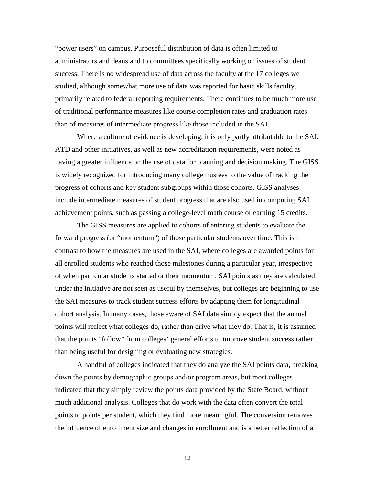"power users" on campus. Purposeful distribution of data is often limited to administrators and deans and to committees specifically working on issues of student success. There is no widespread use of data across the faculty at the 17 colleges we studied, although somewhat more use of data was reported for basic skills faculty, primarily related to federal reporting requirements. There continues to be much more use of traditional performance measures like course completion rates and graduation rates than of measures of intermediate progress like those included in the SAI.

Where a culture of evidence is developing, it is only partly attributable to the SAI. ATD and other initiatives, as well as new accreditation requirements, were noted as having a greater influence on the use of data for planning and decision making. The GISS is widely recognized for introducing many college trustees to the value of tracking the progress of cohorts and key student subgroups within those cohorts. GISS analyses include intermediate measures of student progress that are also used in computing SAI achievement points, such as passing a college-level math course or earning 15 credits.

The GISS measures are applied to cohorts of entering students to evaluate the forward progress (or "momentum") of those particular students over time. This is in contrast to how the measures are used in the SAI, where colleges are awarded points for all enrolled students who reached those milestones during a particular year, irrespective of when particular students started or their momentum. SAI points as they are calculated under the initiative are not seen as useful by themselves, but colleges are beginning to use the SAI measures to track student success efforts by adapting them for longitudinal cohort analysis. In many cases, those aware of SAI data simply expect that the annual points will reflect what colleges do, rather than drive what they do. That is, it is assumed that the points "follow" from colleges' general efforts to improve student success rather than being useful for designing or evaluating new strategies.

A handful of colleges indicated that they do analyze the SAI points data, breaking down the points by demographic groups and/or program areas, but most colleges indicated that they simply review the points data provided by the State Board, without much additional analysis. Colleges that do work with the data often convert the total points to points per student, which they find more meaningful. The conversion removes the influence of enrollment size and changes in enrollment and is a better reflection of a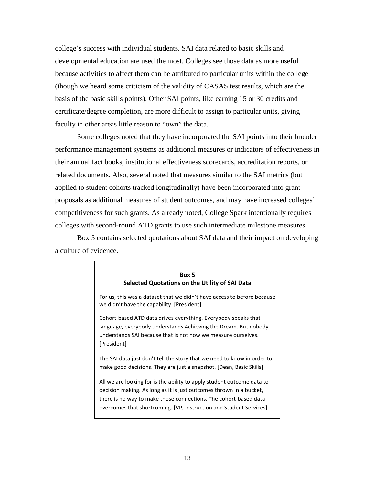college's success with individual students. SAI data related to basic skills and developmental education are used the most. Colleges see those data as more useful because activities to affect them can be attributed to particular units within the college (though we heard some criticism of the validity of CASAS test results, which are the basis of the basic skills points). Other SAI points, like earning 15 or 30 credits and certificate/degree completion, are more difficult to assign to particular units, giving faculty in other areas little reason to "own" the data.

Some colleges noted that they have incorporated the SAI points into their broader performance management systems as additional measures or indicators of effectiveness in their annual fact books, institutional effectiveness scorecards, accreditation reports, or related documents. Also, several noted that measures similar to the SAI metrics (but applied to student cohorts tracked longitudinally) have been incorporated into grant proposals as additional measures of student outcomes, and may have increased colleges' competitiveness for such grants. As already noted, College Spark intentionally requires colleges with second-round ATD grants to use such intermediate milestone measures.

Box 5 contains selected quotations about SAI data and their impact on developing a culture of evidence.

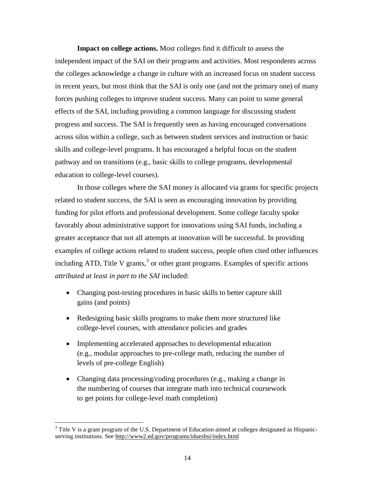**Impact on college actions.** Most colleges find it difficult to assess the independent impact of the SAI on their programs and activities. Most respondents across the colleges acknowledge a change in culture with an increased focus on student success in recent years, but most think that the SAI is only one (and not the primary one) of many forces pushing colleges to improve student success. Many can point to some general effects of the SAI, including providing a common language for discussing student progress and success. The SAI is frequently seen as having encouraged conversations across silos within a college, such as between student services and instruction or basic skills and college-level programs. It has encouraged a helpful focus on the student pathway and on transitions (e.g., basic skills to college programs, developmental education to college-level courses).

In those colleges where the SAI money is allocated via grants for specific projects related to student success, the SAI is seen as encouraging innovation by providing funding for pilot efforts and professional development. Some college faculty spoke favorably about administrative support for innovations using SAI funds, including a greater acceptance that not all attempts at innovation will be successful. In providing examples of college actions related to student success, people often cited other influences including ATD, Title V grants, $3$  or other grant programs. Examples of specific actions *attributed at least in part to the SAI* included:

- Changing post-testing procedures in basic skills to better capture skill gains (and points)
- Redesigning basic skills programs to make them more structured like college-level courses, with attendance policies and grades
- Implementing accelerated approaches to developmental education (e.g., modular approaches to pre-college math, reducing the number of levels of pre-college English)
- Changing data processing/coding procedures (e.g., making a change in the numbering of courses that integrate math into technical coursework to get points for college-level math completion)

<span id="page-17-0"></span><sup>&</sup>lt;sup>3</sup> Title V is a grant program of the U.S. Department of Education aimed at colleges designated as Hispanicserving institutions. See <http://www2.ed.gov/programs/idueshsi/index.html>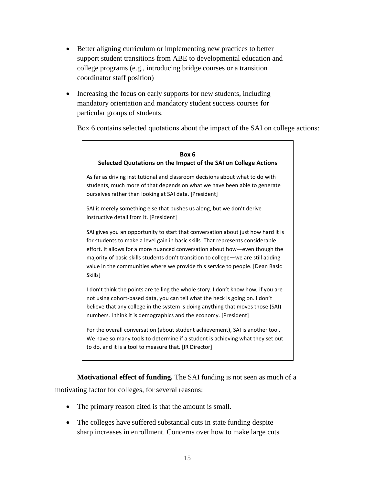- Better aligning curriculum or implementing new practices to better support student transitions from ABE to developmental education and college programs (e.g., introducing bridge courses or a transition coordinator staff position)
- Increasing the focus on early supports for new students, including mandatory orientation and mandatory student success courses for particular groups of students.

Box 6 contains selected quotations about the impact of the SAI on college actions:

# **Box 6 Selected Quotations on the Impact of the SAI on College Actions** As far as driving institutional and classroom decisions about what to do with students, much more of that depends on what we have been able to generate ourselves rather than looking at SAI data. [President] SAI is merely something else that pushes us along, but we don't derive instructive detail from it. [President] SAI gives you an opportunity to start that conversation about just how hard it is for students to make a level gain in basic skills. That represents considerable effort. It allows for a more nuanced conversation about how—even though the majority of basic skills students don't transition to college—we are still adding value in the communities where we provide this service to people. [Dean Basic **Skills1** I don't think the points are telling the whole story. I don't know how, if you are not using cohort-based data, you can tell what the heck is going on. I don't believe that any college in the system is doing anything that moves those (SAI) numbers. I think it is demographics and the economy. [President] For the overall conversation (about student achievement), SAI is another tool. We have so many tools to determine if a student is achieving what they set out to do, and it is a tool to measure that. [IR Director]

**Motivational effect of funding.** The SAI funding is not seen as much of a motivating factor for colleges, for several reasons:

- The primary reason cited is that the amount is small.
- The colleges have suffered substantial cuts in state funding despite sharp increases in enrollment. Concerns over how to make large cuts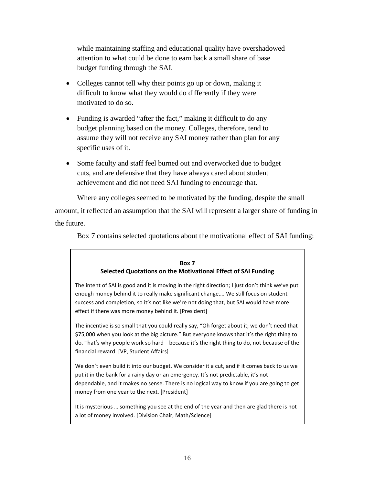while maintaining staffing and educational quality have overshadowed attention to what could be done to earn back a small share of base budget funding through the SAI.

- Colleges cannot tell why their points go up or down, making it difficult to know what they would do differently if they were motivated to do so.
- Funding is awarded "after the fact," making it difficult to do any budget planning based on the money. Colleges, therefore, tend to assume they will not receive any SAI money rather than plan for any specific uses of it.
- Some faculty and staff feel burned out and overworked due to budget cuts, and are defensive that they have always cared about student achievement and did not need SAI funding to encourage that.

Where any colleges seemed to be motivated by the funding, despite the small amount, it reflected an assumption that the SAI will represent a larger share of funding in the future.

Box 7 contains selected quotations about the motivational effect of SAI funding:

## **Box 7 Selected Quotations on the Motivational Effect of SAI Funding**

The intent of SAI is good and it is moving in the right direction; I just don't think we've put enough money behind it to really make significant change…. We still focus on student success and completion, so it's not like we're not doing that, but SAI would have more effect if there was more money behind it. [President]

The incentive is so small that you could really say, "Oh forget about it; we don't need that \$75,000 when you look at the big picture." But everyone knows that it's the right thing to do. That's why people work so hard—because it's the right thing to do, not because of the financial reward. [VP, Student Affairs]

We don't even build it into our budget. We consider it a cut, and if it comes back to us we put it in the bank for a rainy day or an emergency. It's not predictable, it's not dependable, and it makes no sense. There is no logical way to know if you are going to get money from one year to the next. [President]

It is mysterious … something you see at the end of the year and then are glad there is not a lot of money involved. [Division Chair, Math/Science]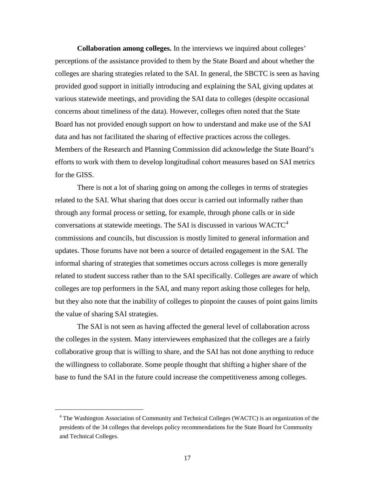**Collaboration among colleges.** In the interviews we inquired about colleges' perceptions of the assistance provided to them by the State Board and about whether the colleges are sharing strategies related to the SAI. In general, the SBCTC is seen as having provided good support in initially introducing and explaining the SAI, giving updates at various statewide meetings, and providing the SAI data to colleges (despite occasional concerns about timeliness of the data). However, colleges often noted that the State Board has not provided enough support on how to understand and make use of the SAI data and has not facilitated the sharing of effective practices across the colleges. Members of the Research and Planning Commission did acknowledge the State Board's efforts to work with them to develop longitudinal cohort measures based on SAI metrics for the GISS.

There is not a lot of sharing going on among the colleges in terms of strategies related to the SAI. What sharing that does occur is carried out informally rather than through any formal process or setting, for example, through phone calls or in side conversations at statewide meetings. The SAI is discussed in various WACTC<sup>[4](#page-20-0)</sup> commissions and councils, but discussion is mostly limited to general information and updates. Those forums have not been a source of detailed engagement in the SAI. The informal sharing of strategies that sometimes occurs across colleges is more generally related to student success rather than to the SAI specifically. Colleges are aware of which colleges are top performers in the SAI, and many report asking those colleges for help, but they also note that the inability of colleges to pinpoint the causes of point gains limits the value of sharing SAI strategies.

The SAI is not seen as having affected the general level of collaboration across the colleges in the system. Many interviewees emphasized that the colleges are a fairly collaborative group that is willing to share, and the SAI has not done anything to reduce the willingness to collaborate. Some people thought that shifting a higher share of the base to fund the SAI in the future could increase the competitiveness among colleges.

<span id="page-20-0"></span> $\overline{\phantom{a}}$ 

<sup>&</sup>lt;sup>4</sup> The Washington Association of Community and Technical Colleges (WACTC) is an organization of the presidents of the 34 colleges that develops policy recommendations for the State Board for Community and Technical Colleges.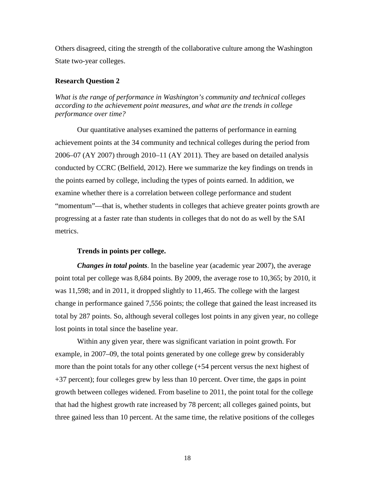Others disagreed, citing the strength of the collaborative culture among the Washington State two-year colleges.

#### <span id="page-21-0"></span>**Research Question 2**

*What is the range of performance in Washington's community and technical colleges according to the achievement point measures, and what are the trends in college performance over time?*

Our quantitative analyses examined the patterns of performance in earning achievement points at the 34 community and technical colleges during the period from 2006–07 (AY 2007) through 2010–11 (AY 2011). They are based on detailed analysis conducted by CCRC (Belfield, 2012). Here we summarize the key findings on trends in the points earned by college, including the types of points earned. In addition, we examine whether there is a correlation between college performance and student "momentum"—that is, whether students in colleges that achieve greater points growth are progressing at a faster rate than students in colleges that do not do as well by the SAI metrics.

#### **Trends in points per college.**

*Changes in total points*. In the baseline year (academic year 2007), the average point total per college was 8,684 points. By 2009, the average rose to 10,365; by 2010, it was 11,598; and in 2011, it dropped slightly to 11,465. The college with the largest change in performance gained 7,556 points; the college that gained the least increased its total by 287 points. So, although several colleges lost points in any given year, no college lost points in total since the baseline year.

Within any given year, there was significant variation in point growth. For example, in 2007–09, the total points generated by one college grew by considerably more than the point totals for any other college (+54 percent versus the next highest of +37 percent); four colleges grew by less than 10 percent. Over time, the gaps in point growth between colleges widened. From baseline to 2011, the point total for the college that had the highest growth rate increased by 78 percent; all colleges gained points, but three gained less than 10 percent. At the same time, the relative positions of the colleges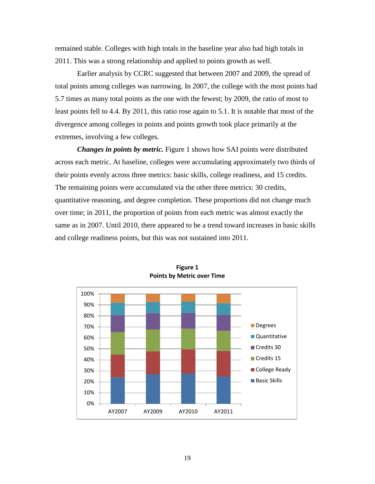remained stable. Colleges with high totals in the baseline year also had high totals in 2011. This was a strong relationship and applied to points growth as well.

Earlier analysis by CCRC suggested that between 2007 and 2009, the spread of total points among colleges was narrowing. In 2007, the college with the most points had 5.7 times as many total points as the one with the fewest; by 2009, the ratio of most to least points fell to 4.4. By 2011, this ratio rose again to 5.1. It is notable that most of the divergence among colleges in points and points growth took place primarily at the extremes, involving a few colleges.

*Changes in points by metric.* Figure 1 shows how SAI points were distributed across each metric. At baseline, colleges were accumulating approximately two thirds of their points evenly across three metrics: basic skills, college readiness, and 15 credits. The remaining points were accumulated via the other three metrics: 30 credits, quantitative reasoning, and degree completion. These proportions did not change much over time; in 2011, the proportion of points from each metric was almost exactly the same as in 2007. Until 2010, there appeared to be a trend toward increases in basic skills and college readiness points, but this was not sustained into 2011.



**Figure 1 Points by Metric over Time**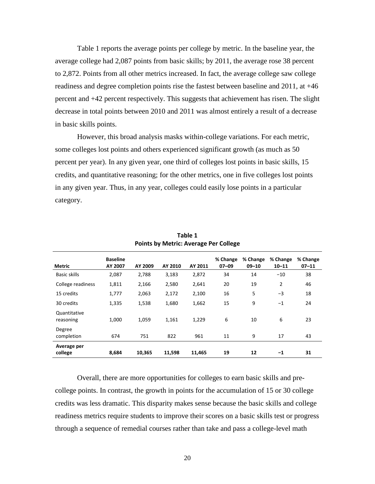Table 1 reports the average points per college by metric. In the baseline year, the average college had 2,087 points from basic skills; by 2011, the average rose 38 percent to 2,872. Points from all other metrics increased. In fact, the average college saw college readiness and degree completion points rise the fastest between baseline and 2011, at +46 percent and +42 percent respectively. This suggests that achievement has risen. The slight decrease in total points between 2010 and 2011 was almost entirely a result of a decrease in basic skills points.

However, this broad analysis masks within-college variations. For each metric, some colleges lost points and others experienced significant growth (as much as 50 percent per year). In any given year, one third of colleges lost points in basic skills, 15 credits, and quantitative reasoning; for the other metrics, one in five colleges lost points in any given year. Thus, in any year, colleges could easily lose points in a particular category.

| Metric                    | <b>Baseline</b><br>AY 2007 | AY 2009 | AY 2010 | AY 2011 | % Change<br>$07 - 09$ | % Change<br>$09 - 10$ | % Change<br>$10 - 11$ | % Change<br>$07 - 11$ |
|---------------------------|----------------------------|---------|---------|---------|-----------------------|-----------------------|-----------------------|-----------------------|
| <b>Basic skills</b>       | 2,087                      | 2,788   | 3,183   | 2,872   | 34                    | 14                    | $-10$                 | 38                    |
| College readiness         | 1,811                      | 2,166   | 2,580   | 2,641   | 20                    | 19                    | $\overline{2}$        | 46                    |
| 15 credits                | 1,777                      | 2,063   | 2,172   | 2,100   | 16                    | 5                     | $-3$                  | 18                    |
| 30 credits                | 1,335                      | 1,538   | 1,680   | 1,662   | 15                    | 9                     | $-1$                  | 24                    |
| Quantitative<br>reasoning | 1,000                      | 1,059   | 1,161   | 1,229   | 6                     | 10                    | 6                     | 23                    |
| Degree<br>completion      | 674                        | 751     | 822     | 961     | 11                    | 9                     | 17                    | 43                    |
| Average per<br>college    | 8,684                      | 10,365  | 11,598  | 11,465  | 19                    | 12                    | -1                    | 31                    |

**Table 1 Points by Metric: Average Per College**

Overall, there are more opportunities for colleges to earn basic skills and precollege points. In contrast, the growth in points for the accumulation of 15 or 30 college credits was less dramatic. This disparity makes sense because the basic skills and college readiness metrics require students to improve their scores on a basic skills test or progress through a sequence of remedial courses rather than take and pass a college-level math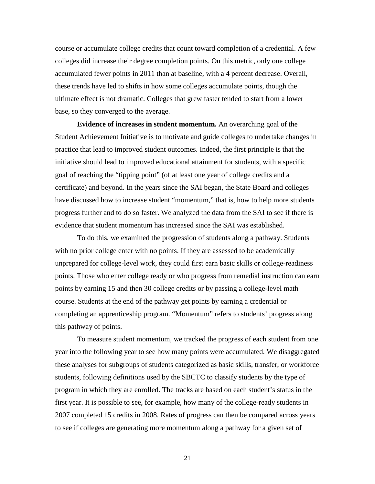course or accumulate college credits that count toward completion of a credential. A few colleges did increase their degree completion points. On this metric, only one college accumulated fewer points in 2011 than at baseline, with a 4 percent decrease. Overall, these trends have led to shifts in how some colleges accumulate points, though the ultimate effect is not dramatic. Colleges that grew faster tended to start from a lower base, so they converged to the average.

**Evidence of increases in student momentum.** An overarching goal of the Student Achievement Initiative is to motivate and guide colleges to undertake changes in practice that lead to improved student outcomes. Indeed, the first principle is that the initiative should lead to improved educational attainment for students, with a specific goal of reaching the "tipping point" (of at least one year of college credits and a certificate) and beyond. In the years since the SAI began, the State Board and colleges have discussed how to increase student "momentum," that is, how to help more students progress further and to do so faster. We analyzed the data from the SAI to see if there is evidence that student momentum has increased since the SAI was established.

To do this, we examined the progression of students along a pathway. Students with no prior college enter with no points. If they are assessed to be academically unprepared for college-level work, they could first earn basic skills or college-readiness points. Those who enter college ready or who progress from remedial instruction can earn points by earning 15 and then 30 college credits or by passing a college-level math course. Students at the end of the pathway get points by earning a credential or completing an apprenticeship program. "Momentum" refers to students' progress along this pathway of points.

To measure student momentum, we tracked the progress of each student from one year into the following year to see how many points were accumulated. We disaggregated these analyses for subgroups of students categorized as basic skills, transfer, or workforce students, following definitions used by the SBCTC to classify students by the type of program in which they are enrolled. The tracks are based on each student's status in the first year. It is possible to see, for example, how many of the college-ready students in 2007 completed 15 credits in 2008. Rates of progress can then be compared across years to see if colleges are generating more momentum along a pathway for a given set of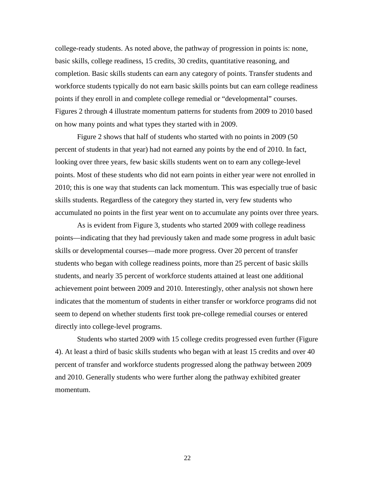college-ready students. As noted above, the pathway of progression in points is: none, basic skills, college readiness, 15 credits, 30 credits, quantitative reasoning, and completion. Basic skills students can earn any category of points. Transfer students and workforce students typically do not earn basic skills points but can earn college readiness points if they enroll in and complete college remedial or "developmental" courses. Figures 2 through 4 illustrate momentum patterns for students from 2009 to 2010 based on how many points and what types they started with in 2009.

Figure 2 shows that half of students who started with no points in 2009 (50 percent of students in that year) had not earned any points by the end of 2010. In fact, looking over three years, few basic skills students went on to earn any college-level points. Most of these students who did not earn points in either year were not enrolled in 2010; this is one way that students can lack momentum. This was especially true of basic skills students. Regardless of the category they started in, very few students who accumulated no points in the first year went on to accumulate any points over three years.

As is evident from Figure 3, students who started 2009 with college readiness points—indicating that they had previously taken and made some progress in adult basic skills or developmental courses—made more progress. Over 20 percent of transfer students who began with college readiness points, more than 25 percent of basic skills students, and nearly 35 percent of workforce students attained at least one additional achievement point between 2009 and 2010. Interestingly, other analysis not shown here indicates that the momentum of students in either transfer or workforce programs did not seem to depend on whether students first took pre-college remedial courses or entered directly into college-level programs.

Students who started 2009 with 15 college credits progressed even further (Figure 4). At least a third of basic skills students who began with at least 15 credits and over 40 percent of transfer and workforce students progressed along the pathway between 2009 and 2010. Generally students who were further along the pathway exhibited greater momentum.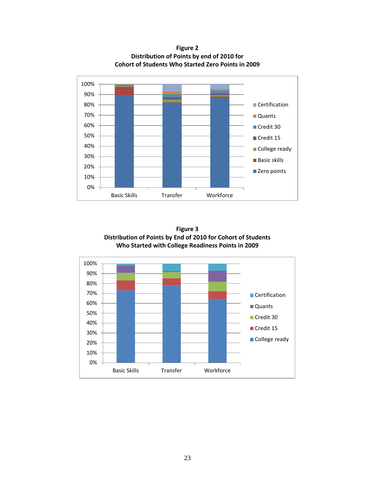0% 10% 20% 30% 40% 50% 60% 70% 80% 90% 100% Basic Skills Transfer Workforce **Certification Quants** Credit 30 Credit 15 College ready **Basic skills** ■ Zero points

**Figure 2 Distribution of Points by end of 2010 for Cohort of Students Who Started Zero Points in 2009**



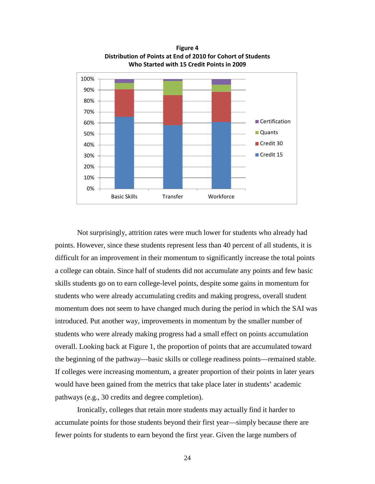

**Figure 4 Distribution of Points at End of 2010 for Cohort of Students Who Started with 15 Credit Points in 2009**

Not surprisingly, attrition rates were much lower for students who already had points. However, since these students represent less than 40 percent of all students, it is difficult for an improvement in their momentum to significantly increase the total points a college can obtain. Since half of students did not accumulate any points and few basic skills students go on to earn college-level points, despite some gains in momentum for students who were already accumulating credits and making progress, overall student momentum does not seem to have changed much during the period in which the SAI was introduced. Put another way, improvements in momentum by the smaller number of students who were already making progress had a small effect on points accumulation overall. Looking back at Figure 1, the proportion of points that are accumulated toward the beginning of the pathway—basic skills or college readiness points—remained stable. If colleges were increasing momentum, a greater proportion of their points in later years would have been gained from the metrics that take place later in students' academic pathways (e.g., 30 credits and degree completion).

Ironically, colleges that retain more students may actually find it harder to accumulate points for those students beyond their first year—simply because there are fewer points for students to earn beyond the first year. Given the large numbers of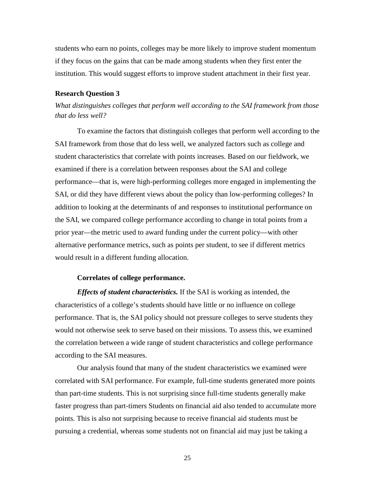students who earn no points, colleges may be more likely to improve student momentum if they focus on the gains that can be made among students when they first enter the institution. This would suggest efforts to improve student attachment in their first year.

#### <span id="page-28-0"></span>**Research Question 3**

*What distinguishes colleges that perform well according to the SAI framework from those that do less well?*

To examine the factors that distinguish colleges that perform well according to the SAI framework from those that do less well, we analyzed factors such as college and student characteristics that correlate with points increases. Based on our fieldwork, we examined if there is a correlation between responses about the SAI and college performance—that is, were high-performing colleges more engaged in implementing the SAI, or did they have different views about the policy than low-performing colleges? In addition to looking at the determinants of and responses to institutional performance on the SAI, we compared college performance according to change in total points from a prior year—the metric used to award funding under the current policy—with other alternative performance metrics, such as points per student, to see if different metrics would result in a different funding allocation.

#### **Correlates of college performance.**

*Effects of student characteristics.* If the SAI is working as intended, the characteristics of a college's students should have little or no influence on college performance. That is, the SAI policy should not pressure colleges to serve students they would not otherwise seek to serve based on their missions. To assess this, we examined the correlation between a wide range of student characteristics and college performance according to the SAI measures.

Our analysis found that many of the student characteristics we examined were correlated with SAI performance. For example, full-time students generated more points than part-time students. This is not surprising since full-time students generally make faster progress than part-timers Students on financial aid also tended to accumulate more points. This is also not surprising because to receive financial aid students must be pursuing a credential, whereas some students not on financial aid may just be taking a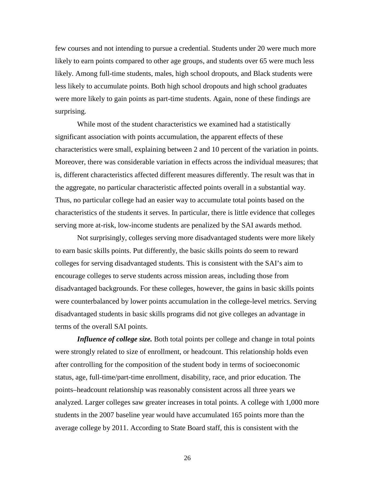few courses and not intending to pursue a credential. Students under 20 were much more likely to earn points compared to other age groups, and students over 65 were much less likely. Among full-time students, males, high school dropouts, and Black students were less likely to accumulate points. Both high school dropouts and high school graduates were more likely to gain points as part-time students. Again, none of these findings are surprising.

While most of the student characteristics we examined had a statistically significant association with points accumulation, the apparent effects of these characteristics were small, explaining between 2 and 10 percent of the variation in points. Moreover, there was considerable variation in effects across the individual measures; that is, different characteristics affected different measures differently. The result was that in the aggregate, no particular characteristic affected points overall in a substantial way. Thus, no particular college had an easier way to accumulate total points based on the characteristics of the students it serves. In particular, there is little evidence that colleges serving more at-risk, low-income students are penalized by the SAI awards method.

Not surprisingly, colleges serving more disadvantaged students were more likely to earn basic skills points. Put differently, the basic skills points do seem to reward colleges for serving disadvantaged students. This is consistent with the SAI's aim to encourage colleges to serve students across mission areas, including those from disadvantaged backgrounds. For these colleges, however, the gains in basic skills points were counterbalanced by lower points accumulation in the college-level metrics. Serving disadvantaged students in basic skills programs did not give colleges an advantage in terms of the overall SAI points.

*Influence of college size.* Both total points per college and change in total points were strongly related to size of enrollment, or headcount. This relationship holds even after controlling for the composition of the student body in terms of socioeconomic status, age, full-time/part-time enrollment, disability, race, and prior education. The points–headcount relationship was reasonably consistent across all three years we analyzed. Larger colleges saw greater increases in total points. A college with 1,000 more students in the 2007 baseline year would have accumulated 165 points more than the average college by 2011. According to State Board staff, this is consistent with the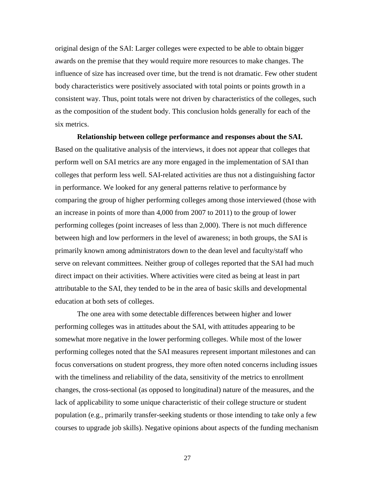original design of the SAI: Larger colleges were expected to be able to obtain bigger awards on the premise that they would require more resources to make changes. The influence of size has increased over time, but the trend is not dramatic. Few other student body characteristics were positively associated with total points or points growth in a consistent way. Thus, point totals were not driven by characteristics of the colleges, such as the composition of the student body. This conclusion holds generally for each of the six metrics.

**Relationship between college performance and responses about the SAI.** Based on the qualitative analysis of the interviews, it does not appear that colleges that perform well on SAI metrics are any more engaged in the implementation of SAI than colleges that perform less well. SAI-related activities are thus not a distinguishing factor in performance. We looked for any general patterns relative to performance by comparing the group of higher performing colleges among those interviewed (those with an increase in points of more than 4,000 from 2007 to 2011) to the group of lower performing colleges (point increases of less than 2,000). There is not much difference between high and low performers in the level of awareness; in both groups, the SAI is primarily known among administrators down to the dean level and faculty/staff who serve on relevant committees. Neither group of colleges reported that the SAI had much direct impact on their activities. Where activities were cited as being at least in part attributable to the SAI, they tended to be in the area of basic skills and developmental education at both sets of colleges.

The one area with some detectable differences between higher and lower performing colleges was in attitudes about the SAI, with attitudes appearing to be somewhat more negative in the lower performing colleges. While most of the lower performing colleges noted that the SAI measures represent important milestones and can focus conversations on student progress, they more often noted concerns including issues with the timeliness and reliability of the data, sensitivity of the metrics to enrollment changes, the cross-sectional (as opposed to longitudinal) nature of the measures, and the lack of applicability to some unique characteristic of their college structure or student population (e.g., primarily transfer-seeking students or those intending to take only a few courses to upgrade job skills). Negative opinions about aspects of the funding mechanism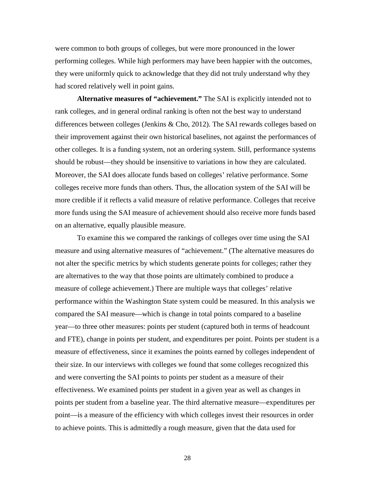were common to both groups of colleges, but were more pronounced in the lower performing colleges. While high performers may have been happier with the outcomes, they were uniformly quick to acknowledge that they did not truly understand why they had scored relatively well in point gains.

**Alternative measures of "achievement."** The SAI is explicitly intended not to rank colleges, and in general ordinal ranking is often not the best way to understand differences between colleges (Jenkins & Cho, 2012). The SAI rewards colleges based on their improvement against their own historical baselines, not against the performances of other colleges. It is a funding system, not an ordering system. Still, performance systems should be robust—they should be insensitive to variations in how they are calculated. Moreover, the SAI does allocate funds based on colleges' relative performance. Some colleges receive more funds than others. Thus, the allocation system of the SAI will be more credible if it reflects a valid measure of relative performance. Colleges that receive more funds using the SAI measure of achievement should also receive more funds based on an alternative, equally plausible measure.

To examine this we compared the rankings of colleges over time using the SAI measure and using alternative measures of "achievement." (The alternative measures do not alter the specific metrics by which students generate points for colleges; rather they are alternatives to the way that those points are ultimately combined to produce a measure of college achievement.) There are multiple ways that colleges' relative performance within the Washington State system could be measured. In this analysis we compared the SAI measure—which is change in total points compared to a baseline year—to three other measures: points per student (captured both in terms of headcount and FTE), change in points per student, and expenditures per point. Points per student is a measure of effectiveness, since it examines the points earned by colleges independent of their size. In our interviews with colleges we found that some colleges recognized this and were converting the SAI points to points per student as a measure of their effectiveness. We examined points per student in a given year as well as changes in points per student from a baseline year. The third alternative measure—expenditures per point—is a measure of the efficiency with which colleges invest their resources in order to achieve points. This is admittedly a rough measure, given that the data used for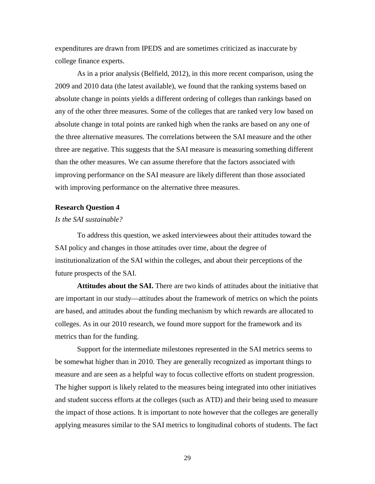expenditures are drawn from IPEDS and are sometimes criticized as inaccurate by college finance experts.

As in a prior analysis (Belfield, 2012), in this more recent comparison, using the 2009 and 2010 data (the latest available), we found that the ranking systems based on absolute change in points yields a different ordering of colleges than rankings based on any of the other three measures. Some of the colleges that are ranked very low based on absolute change in total points are ranked high when the ranks are based on any one of the three alternative measures. The correlations between the SAI measure and the other three are negative. This suggests that the SAI measure is measuring something different than the other measures. We can assume therefore that the factors associated with improving performance on the SAI measure are likely different than those associated with improving performance on the alternative three measures.

#### <span id="page-32-0"></span>**Research Question 4**

#### *Is the SAI sustainable?*

To address this question, we asked interviewees about their attitudes toward the SAI policy and changes in those attitudes over time, about the degree of institutionalization of the SAI within the colleges, and about their perceptions of the future prospects of the SAI.

**Attitudes about the SAI.** There are two kinds of attitudes about the initiative that are important in our study—attitudes about the framework of metrics on which the points are based, and attitudes about the funding mechanism by which rewards are allocated to colleges. As in our 2010 research, we found more support for the framework and its metrics than for the funding.

Support for the intermediate milestones represented in the SAI metrics seems to be somewhat higher than in 2010. They are generally recognized as important things to measure and are seen as a helpful way to focus collective efforts on student progression. The higher support is likely related to the measures being integrated into other initiatives and student success efforts at the colleges (such as ATD) and their being used to measure the impact of those actions. It is important to note however that the colleges are generally applying measures similar to the SAI metrics to longitudinal cohorts of students. The fact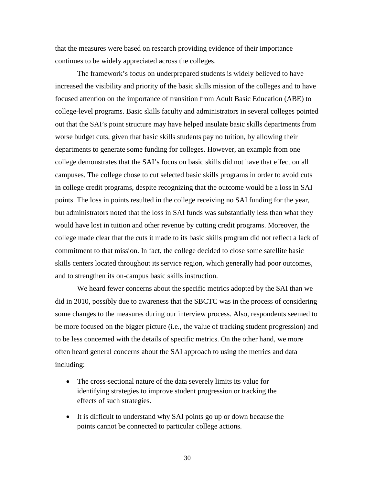that the measures were based on research providing evidence of their importance continues to be widely appreciated across the colleges.

The framework's focus on underprepared students is widely believed to have increased the visibility and priority of the basic skills mission of the colleges and to have focused attention on the importance of transition from Adult Basic Education (ABE) to college-level programs. Basic skills faculty and administrators in several colleges pointed out that the SAI's point structure may have helped insulate basic skills departments from worse budget cuts, given that basic skills students pay no tuition, by allowing their departments to generate some funding for colleges. However, an example from one college demonstrates that the SAI's focus on basic skills did not have that effect on all campuses. The college chose to cut selected basic skills programs in order to avoid cuts in college credit programs, despite recognizing that the outcome would be a loss in SAI points. The loss in points resulted in the college receiving no SAI funding for the year, but administrators noted that the loss in SAI funds was substantially less than what they would have lost in tuition and other revenue by cutting credit programs. Moreover, the college made clear that the cuts it made to its basic skills program did not reflect a lack of commitment to that mission. In fact, the college decided to close some satellite basic skills centers located throughout its service region, which generally had poor outcomes, and to strengthen its on-campus basic skills instruction.

We heard fewer concerns about the specific metrics adopted by the SAI than we did in 2010, possibly due to awareness that the SBCTC was in the process of considering some changes to the measures during our interview process. Also, respondents seemed to be more focused on the bigger picture (i.e., the value of tracking student progression) and to be less concerned with the details of specific metrics. On the other hand, we more often heard general concerns about the SAI approach to using the metrics and data including:

- The cross-sectional nature of the data severely limits its value for identifying strategies to improve student progression or tracking the effects of such strategies.
- It is difficult to understand why SAI points go up or down because the points cannot be connected to particular college actions.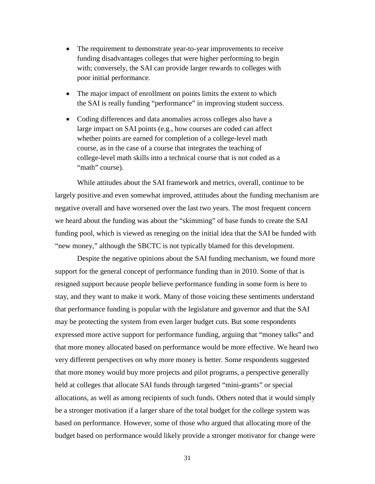- The requirement to demonstrate year-to-year improvements to receive funding disadvantages colleges that were higher performing to begin with; conversely, the SAI can provide larger rewards to colleges with poor initial performance.
- The major impact of enrollment on points limits the extent to which the SAI is really funding "performance" in improving student success.
- Coding differences and data anomalies across colleges also have a large impact on SAI points (e.g., how courses are coded can affect whether points are earned for completion of a college-level math course, as in the case of a course that integrates the teaching of college-level math skills into a technical course that is not coded as a "math" course).

While attitudes about the SAI framework and metrics, overall, continue to be largely positive and even somewhat improved, attitudes about the funding mechanism are negative overall and have worsened over the last two years. The most frequent concern we heard about the funding was about the "skimming" of base funds to create the SAI funding pool, which is viewed as reneging on the initial idea that the SAI be funded with "new money," although the SBCTC is not typically blamed for this development.

Despite the negative opinions about the SAI funding mechanism, we found more support for the general concept of performance funding than in 2010. Some of that is resigned support because people believe performance funding in some form is here to stay, and they want to make it work. Many of those voicing these sentiments understand that performance funding is popular with the legislature and governor and that the SAI may be protecting the system from even larger budget cuts. But some respondents expressed more active support for performance funding, arguing that "money talks" and that more money allocated based on performance would be more effective. We heard two very different perspectives on why more money is better. Some respondents suggested that more money would buy more projects and pilot programs, a perspective generally held at colleges that allocate SAI funds through targeted "mini-grants" or special allocations, as well as among recipients of such funds. Others noted that it would simply be a stronger motivation if a larger share of the total budget for the college system was based on performance. However, some of those who argued that allocating more of the budget based on performance would likely provide a stronger motivator for change were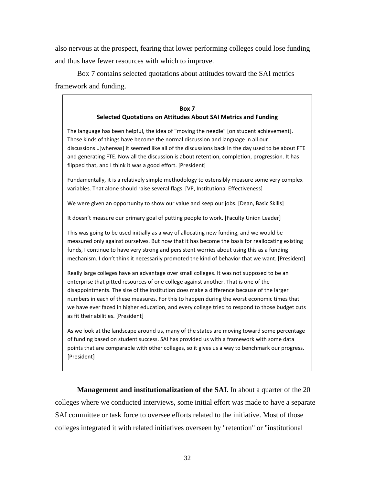also nervous at the prospect, fearing that lower performing colleges could lose funding and thus have fewer resources with which to improve.

Box 7 contains selected quotations about attitudes toward the SAI metrics framework and funding.

### **Box 7 Selected Quotations on Attitudes About SAI Metrics and Funding**

The language has been helpful, the idea of "moving the needle" [on student achievement]. Those kinds of things have become the normal discussion and language in all our discussions…[whereas] it seemed like all of the discussions back in the day used to be about FTE and generating FTE. Now all the discussion is about retention, completion, progression. It has flipped that, and I think it was a good effort. [President]

Fundamentally, it is a relatively simple methodology to ostensibly measure some very complex variables. That alone should raise several flags. [VP, Institutional Effectiveness]

We were given an opportunity to show our value and keep our jobs. [Dean, Basic Skills]

It doesn't measure our primary goal of putting people to work. [Faculty Union Leader]

This was going to be used initially as a way of allocating new funding, and we would be measured only against ourselves. But now that it has become the basis for reallocating existing funds, I continue to have very strong and persistent worries about using this as a funding mechanism. I don't think it necessarily promoted the kind of behavior that we want. [President]

Really large colleges have an advantage over small colleges. It was not supposed to be an enterprise that pitted resources of one college against another. That is one of the disappointments. The size of the institution does make a difference because of the larger numbers in each of these measures. For this to happen during the worst economic times that we have ever faced in higher education, and every college tried to respond to those budget cuts as fit their abilities. [President]

As we look at the landscape around us, many of the states are moving toward some percentage of funding based on student success. SAI has provided us with a framework with some data points that are comparable with other colleges, so it gives us a way to benchmark our progress. [President]

**Management and institutionalization of the SAI.** In about a quarter of the 20 colleges where we conducted interviews, some initial effort was made to have a separate SAI committee or task force to oversee efforts related to the initiative. Most of those colleges integrated it with related initiatives overseen by "retention" or "institutional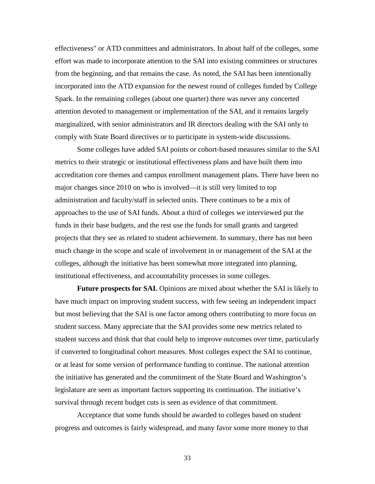effectiveness" or ATD committees and administrators. In about half of the colleges, some effort was made to incorporate attention to the SAI into existing committees or structures from the beginning, and that remains the case. As noted, the SAI has been intentionally incorporated into the ATD expansion for the newest round of colleges funded by College Spark. In the remaining colleges (about one quarter) there was never any concerted attention devoted to management or implementation of the SAI, and it remains largely marginalized, with senior administrators and IR directors dealing with the SAI only to comply with State Board directives or to participate in system-wide discussions.

Some colleges have added SAI points or cohort-based measures similar to the SAI metrics to their strategic or institutional effectiveness plans and have built them into accreditation core themes and campus enrollment management plans. There have been no major changes since 2010 on who is involved—it is still very limited to top administration and faculty/staff in selected units. There continues to be a mix of approaches to the use of SAI funds. About a third of colleges we interviewed put the funds in their base budgets, and the rest use the funds for small grants and targeted projects that they see as related to student achievement. In summary, there has not been much change in the scope and scale of involvement in or management of the SAI at the colleges, although the initiative has been somewhat more integrated into planning, institutional effectiveness, and accountability processes in some colleges.

**Future prospects for SAI.** Opinions are mixed about whether the SAI is likely to have much impact on improving student success, with few seeing an independent impact but most believing that the SAI is one factor among others contributing to more focus on student success. Many appreciate that the SAI provides some new metrics related to student success and think that that could help to improve outcomes over time, particularly if converted to longitudinal cohort measures. Most colleges expect the SAI to continue, or at least for some version of performance funding to continue. The national attention the initiative has generated and the commitment of the State Board and Washington's legislature are seen as important factors supporting its continuation. The initiative's survival through recent budget cuts is seen as evidence of that commitment.

Acceptance that some funds should be awarded to colleges based on student progress and outcomes is fairly widespread, and many favor some more money to that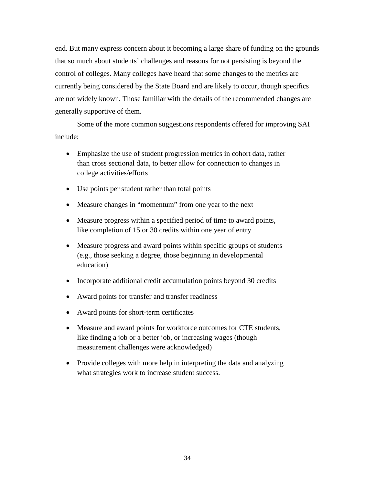end. But many express concern about it becoming a large share of funding on the grounds that so much about students' challenges and reasons for not persisting is beyond the control of colleges. Many colleges have heard that some changes to the metrics are currently being considered by the State Board and are likely to occur, though specifics are not widely known. Those familiar with the details of the recommended changes are generally supportive of them.

Some of the more common suggestions respondents offered for improving SAI include:

- Emphasize the use of student progression metrics in cohort data, rather than cross sectional data, to better allow for connection to changes in college activities/efforts
- Use points per student rather than total points
- Measure changes in "momentum" from one year to the next
- Measure progress within a specified period of time to award points, like completion of 15 or 30 credits within one year of entry
- Measure progress and award points within specific groups of students (e.g., those seeking a degree, those beginning in developmental education)
- Incorporate additional credit accumulation points beyond 30 credits
- Award points for transfer and transfer readiness
- Award points for short-term certificates
- Measure and award points for workforce outcomes for CTE students, like finding a job or a better job, or increasing wages (though measurement challenges were acknowledged)
- Provide colleges with more help in interpreting the data and analyzing what strategies work to increase student success.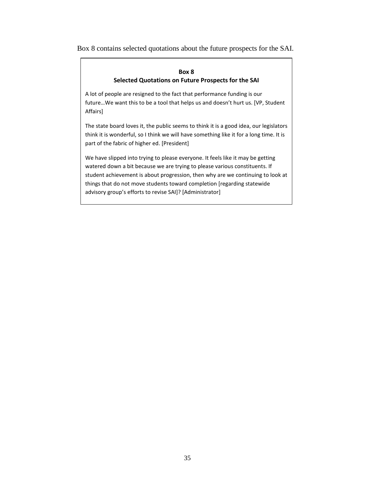Box 8 contains selected quotations about the future prospects for the SAI.

### **Box 8 Selected Quotations on Future Prospects for the SAI**

A lot of people are resigned to the fact that performance funding is our future…We want this to be a tool that helps us and doesn't hurt us. [VP, Student Affairs]

The state board loves it, the public seems to think it is a good idea, our legislators think it is wonderful, so I think we will have something like it for a long time. It is part of the fabric of higher ed. [President]

<span id="page-38-0"></span>We have slipped into trying to please everyone. It feels like it may be getting watered down a bit because we are trying to please various constituents. If student achievement is about progression, then why are we continuing to look at things that do not move students toward completion [regarding statewide advisory group's efforts to revise SAI]? [Administrator]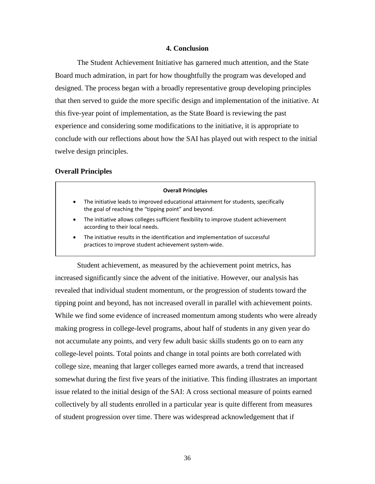#### **4. Conclusion**

The Student Achievement Initiative has garnered much attention, and the State Board much admiration, in part for how thoughtfully the program was developed and designed. The process began with a broadly representative group developing principles that then served to guide the more specific design and implementation of the initiative. At this five-year point of implementation, as the State Board is reviewing the past experience and considering some modifications to the initiative, it is appropriate to conclude with our reflections about how the SAI has played out with respect to the initial twelve design principles.

### <span id="page-39-0"></span>**Overall Principles**

# **Overall Principles** • The initiative leads to improved educational attainment for students, specifically the goal of reaching the "tipping point" and beyond. • The initiative allows colleges sufficient flexibility to improve student achievement according to their local needs. The initiative results in the identification and implementation of successful

practices to improve student achievement system-wide.

Student achievement, as measured by the achievement point metrics, has increased significantly since the advent of the initiative. However, our analysis has revealed that individual student momentum, or the progression of students toward the tipping point and beyond, has not increased overall in parallel with achievement points. While we find some evidence of increased momentum among students who were already making progress in college-level programs, about half of students in any given year do not accumulate any points, and very few adult basic skills students go on to earn any college-level points. Total points and change in total points are both correlated with college size, meaning that larger colleges earned more awards, a trend that increased somewhat during the first five years of the initiative. This finding illustrates an important issue related to the initial design of the SAI: A cross sectional measure of points earned collectively by all students enrolled in a particular year is quite different from measures of student progression over time. There was widespread acknowledgement that if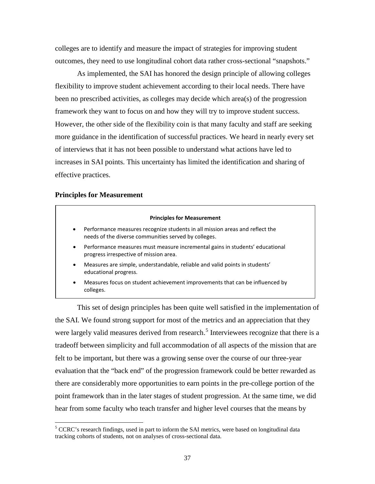colleges are to identify and measure the impact of strategies for improving student outcomes, they need to use longitudinal cohort data rather cross-sectional "snapshots."

As implemented, the SAI has honored the design principle of allowing colleges flexibility to improve student achievement according to their local needs. There have been no prescribed activities, as colleges may decide which area(s) of the progression framework they want to focus on and how they will try to improve student success. However, the other side of the flexibility coin is that many faculty and staff are seeking more guidance in the identification of successful practices. We heard in nearly every set of interviews that it has not been possible to understand what actions have led to increases in SAI points. This uncertainty has limited the identification and sharing of effective practices.

#### <span id="page-40-0"></span>**Principles for Measurement**

#### **Principles for Measurement**

- Performance measures recognize students in all mission areas and reflect the needs of the diverse communities served by colleges.
- Performance measures must measure incremental gains in students' educational progress irrespective of mission area.
- Measures are simple, understandable, reliable and valid points in students' educational progress.
- Measures focus on student achievement improvements that can be influenced by colleges.

This set of design principles has been quite well satisfied in the implementation of the SAI. We found strong support for most of the metrics and an appreciation that they were largely valid measures derived from research.<sup>[5](#page-40-1)</sup> Interviewees recognize that there is a tradeoff between simplicity and full accommodation of all aspects of the mission that are felt to be important, but there was a growing sense over the course of our three-year evaluation that the "back end" of the progression framework could be better rewarded as there are considerably more opportunities to earn points in the pre-college portion of the point framework than in the later stages of student progression. At the same time, we did hear from some faculty who teach transfer and higher level courses that the means by

<span id="page-40-1"></span><sup>&</sup>lt;sup>5</sup> CCRC's research findings, used in part to inform the SAI metrics, were based on longitudinal data tracking cohorts of students, not on analyses of cross-sectional data.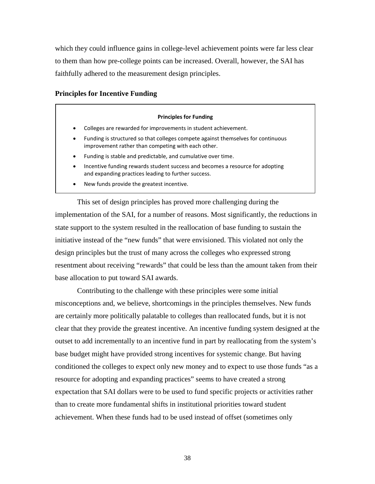which they could influence gains in college-level achievement points were far less clear to them than how pre-college points can be increased. Overall, however, the SAI has faithfully adhered to the measurement design principles.

### <span id="page-41-0"></span>**Principles for Incentive Funding**

#### **Principles for Funding**

- Colleges are rewarded for improvements in student achievement.
- Funding is structured so that colleges compete against themselves for continuous improvement rather than competing with each other.
- Funding is stable and predictable, and cumulative over time.
- Incentive funding rewards student success and becomes a resource for adopting and expanding practices leading to further success.
- New funds provide the greatest incentive.

This set of design principles has proved more challenging during the implementation of the SAI, for a number of reasons. Most significantly, the reductions in state support to the system resulted in the reallocation of base funding to sustain the initiative instead of the "new funds" that were envisioned. This violated not only the design principles but the trust of many across the colleges who expressed strong resentment about receiving "rewards" that could be less than the amount taken from their base allocation to put toward SAI awards.

Contributing to the challenge with these principles were some initial misconceptions and, we believe, shortcomings in the principles themselves. New funds are certainly more politically palatable to colleges than reallocated funds, but it is not clear that they provide the greatest incentive. An incentive funding system designed at the outset to add incrementally to an incentive fund in part by reallocating from the system's base budget might have provided strong incentives for systemic change. But having conditioned the colleges to expect only new money and to expect to use those funds "as a resource for adopting and expanding practices" seems to have created a strong expectation that SAI dollars were to be used to fund specific projects or activities rather than to create more fundamental shifts in institutional priorities toward student achievement. When these funds had to be used instead of offset (sometimes only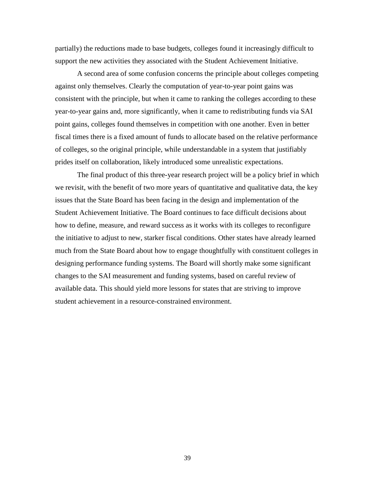partially) the reductions made to base budgets, colleges found it increasingly difficult to support the new activities they associated with the Student Achievement Initiative.

A second area of some confusion concerns the principle about colleges competing against only themselves. Clearly the computation of year-to-year point gains was consistent with the principle, but when it came to ranking the colleges according to these year-to-year gains and, more significantly, when it came to redistributing funds via SAI point gains, colleges found themselves in competition with one another. Even in better fiscal times there is a fixed amount of funds to allocate based on the relative performance of colleges, so the original principle, while understandable in a system that justifiably prides itself on collaboration, likely introduced some unrealistic expectations.

The final product of this three-year research project will be a policy brief in which we revisit, with the benefit of two more years of quantitative and qualitative data, the key issues that the State Board has been facing in the design and implementation of the Student Achievement Initiative. The Board continues to face difficult decisions about how to define, measure, and reward success as it works with its colleges to reconfigure the initiative to adjust to new, starker fiscal conditions. Other states have already learned much from the State Board about how to engage thoughtfully with constituent colleges in designing performance funding systems. The Board will shortly make some significant changes to the SAI measurement and funding systems, based on careful review of available data. This should yield more lessons for states that are striving to improve student achievement in a resource-constrained environment.